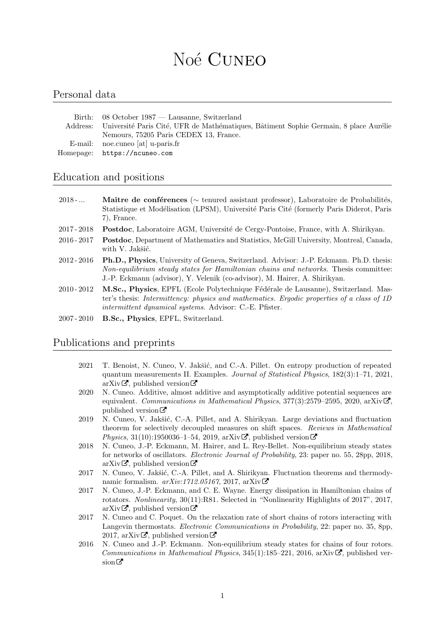# Noé CUNEO

#### Personal data

| Birth: 08 October 1987 — Lausanne, Switzerland                                                 |
|------------------------------------------------------------------------------------------------|
| Address: Université Paris Cité, UFR de Mathématiques, Bâtiment Sophie Germain, 8 place Aurélie |
| Nemours, 75205 Paris CEDEX 13, France.                                                         |
| E-mail: noe.cuneo $[at]$ u-paris.fr                                                            |
| Homepage: https://ncuneo.com                                                                   |

#### Education and positions

| $2018 - $     | <b>Maître de conférences</b> ( $\sim$ tenured assistant professor), Laboratoire de Probabilités,<br>Statistique et Modélisation (LPSM), Université Paris Cité (formerly Paris Diderot, Paris<br>$(7)$ , France.                                                        |
|---------------|------------------------------------------------------------------------------------------------------------------------------------------------------------------------------------------------------------------------------------------------------------------------|
| 2017 - 2018   | Postdoc, Laboratoire AGM, Université de Cergy-Pontoise, France, with A. Shirikyan.                                                                                                                                                                                     |
| $2016 - 2017$ | Postdoc, Department of Mathematics and Statistics, McGill University, Montreal, Canada,<br>with V. Jakšić.                                                                                                                                                             |
| $2012 - 2016$ | <b>Ph.D., Physics</b> , University of Geneva, Switzerland. Advisor: J.-P. Eckmann. Ph.D. thesis:<br>Non-equilibrium steady states for Hamiltonian chains and networks. Thesis committee:<br>J.-P. Eckmann (advisor), Y. Velenik (co-advisor), M. Hairer, A. Shirikyan. |
| $2010 - 2012$ | M.Sc., Physics, EPFL (Ecole Polytechnique Fédérale de Lausanne), Switzerland. Mas-<br>ter's thesis: Intermittency: physics and mathematics. Ergodic properties of a class of 1D                                                                                        |

- ter's thesis: Intermittency: physics and mathematics. Ergodic properties of a class of 1D intermittent dynamical systems. Advisor: C.-E. Pfister.
- 2007 2010 B.Sc., Physics, EPFL, Switzerland.

#### Publications and preprints

- 2021 T. Benoist, N. Cuneo, V. Jakšić, and C.-A. Pillet. On entropy production of repeated quantum measurements II. Examples. Journal of Statistical Physics, 182(3):1–71, 2021, [arXiv](http://arxiv.org/abs/2012.03885) $\vec{\sigma}$ , [published version](https://link.springer.com/article/10.1007/s10955-021-02725-1)  $\vec{\sigma}$
- 2020 N. Cuneo. Additive, almost additive and asymptotically additive potential sequences are equivalent. Communications in Mathematical Physics,  $377(3)$ :2579–2595, 2020, [arXiv](http://arxiv.org/abs/1909.08643) $\mathbb{Z}$ , [published version](https://rdcu.be/b4JYz)  $\mathcal{C}$
- 2019 N. Cuneo, V. Jakšić, C.-A. Pillet, and A. Shirikyan. Large deviations and fluctuation theorem for selectively decoupled measures on shift spaces. Reviews in Mathematical Physics, 31(10):1950036-1-54, 2019, [arXiv](http://arxiv.org/abs/1712.09038) $\mathbb{Z}$ , [published version](https://www.worldscientific.com/doi/abs/10.1142/S0129055X19500363)  $\mathbb{Z}$
- 2018 N. Cuneo, J.-P. Eckmann, M. Hairer, and L. Rey-Bellet. Non-equilibrium steady states for networks of oscillators. Electronic Journal of Probability, 23: paper no. 55, 28pp, 2018, [arXiv](http://arxiv.org/abs/1712.09413) $\vec{\alpha}$ , [published version](https://projecteuclid.org/euclid.ejp/1528358489)  $\vec{\alpha}$
- 2017 N. Cuneo, V. Jakšić, C.-A. Pillet, and A. Shirikyan. Fluctuation theorems and thermodynamic formalism.  $arXiv:1712.05167$  $arXiv:1712.05167$ , 2017,  $arXiv \mathbf{C}$
- 2017 N. Cuneo, J.-P. Eckmann, and C. E. Wayne. Energy dissipation in Hamiltonian chains of rotators. Nonlinearity, 30(11):R81. Selected in "Nonlinearity Highlights of 2017", 2017, [arXiv](http://arxiv.org/abs/1702.06464) $\vec{\mathcal{L}}$ , [published version](http://iopscience.iop.org/article/10.1088/1361-6544/aa85d6)  $\vec{\mathcal{L}}$
- 2017 N. Cuneo and C. Poquet. On the relaxation rate of short chains of rotors interacting with Langevin thermostats. Electronic Communications in Probability, 22: paper no. 35, 8pp, 2017, [arXiv](http://arxiv.org/abs/1604.03408) $\vec{\alpha}$ , [published version](http://projecteuclid.org/euclid.ecp/1498010648)  $\vec{\alpha}$
- 2016 N. Cuneo and J.-P. Eckmann. Non-equilibrium steady states for chains of four rotors. Communications in Mathematical Physics,  $345(1)$ :185–221, 2016, [arXiv](http://arxiv.org/abs/1504.04964) $\mathbf{C}$ , [published ver](http://link.springer.com/article/10.1007/s00220-015-2550-2)[sion](http://link.springer.com/article/10.1007/s00220-015-2550-2)  $\sigma$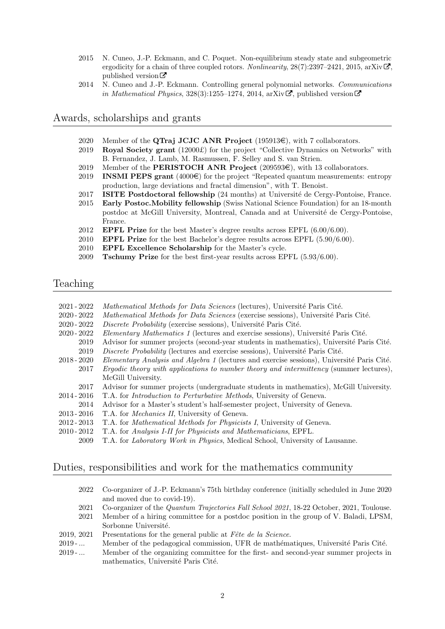- 2015 N. Cuneo, J.-P. Eckmann, and C. Poquet. Non-equilibrium steady state and subgeometric ergodicity for a chain of three coupled rotors. Nonlinearity,  $28(7):2397-2421$ ,  $2015$ , [arXiv](http://arxiv.org/abs/1411.0400) $\mathbb{Z}$ , [published version](http://iopscience.iop.org/0951-7715/28/7/2397/)  $\mathbb{Z}$
- 2014 N. Cuneo and J.-P. Eckmann. Controlling general polynomial networks. Communications in Mathematical Physics, 328(3):1255–1274, 2014, [arXiv](http://arxiv.org/abs/1301.1235) $\vec{C}$ , [published version](https://link.springer.com/content/pdf/10.1007/s00220-014-1966-4.pdf)  $\vec{C}$

#### Awards, scholarships and grants

- 2020 Member of the **QTraj JCJC ANR Project** (195913 $\in$ ), with 7 collaborators.
- 2019 Royal Society grant  $(12000\text{E})$  for the project "Collective Dynamics on Networks" with B. Fernandez, J. Lamb, M. Rasmussen, F. Selley and S. van Strien.
- 2019 Member of the PERISTOCH ANR Project  $(209593\epsilon)$ , with 13 collaborators.
- 2019 INSMI PEPS grant  $(4000\epsilon)$  for the project "Repeated quantum measurements: entropy production, large deviations and fractal dimension", with T. Benoist.
- 2017 ISITE Postdoctoral fellowship (24 months) at Université de Cergy-Pontoise, France.
- 2015 Early Postoc.Mobility fellowship (Swiss National Science Foundation) for an 18-month postdoc at McGill University, Montreal, Canada and at Université de Cergy-Pontoise, France.
- 2012 **EPFL Prize** for the best Master's degree results across EPFL  $(6.00/6.00)$ .
- 2010 EPFL Prize for the best Bachelor's degree results across EPFL (5.90/6.00).
- 2010 EPFL Excellence Scholarship for the Master's cycle.
- 2009 Tschumy Prize for the best first-year results across EPFL (5.93/6.00).

#### Teaching

| $2021 - 2022$ | Mathematical Methods for Data Sciences (lectures), Université Paris Cité.                     |
|---------------|-----------------------------------------------------------------------------------------------|
| $2020 - 2022$ | Mathematical Methods for Data Sciences (exercise sessions), Université Paris Cité.            |
| $2020 - 2022$ | Discrete Probability (exercise sessions), Université Paris Cité.                              |
| $2020 - 2022$ | Elementary Mathematics 1 (lectures and exercise sessions), Université Paris Cité.             |
| 2019          | Advisor for summer projects (second-year students in mathematics), Université Paris Cité.     |
| 2019          | Discrete Probability (lectures and exercise sessions), Université Paris Cité.                 |
| $2018 - 2020$ | Elementary Analysis and Algebra 1 (lectures and exercise sessions), Université Paris Cité.    |
| 2017          | <i>Ergodic theory with applications to number theory and intermittency (summer lectures).</i> |
|               | McGill University.                                                                            |
| 2017          | Advisor for summer projects (undergraduate students in mathematics), McGill University.       |
| $2014 - 2016$ | T.A. for <i>Introduction to Perturbative Methods</i> , University of Geneva.                  |
| 2014          | Advisor for a Master's student's half-semester project, University of Geneva.                 |
| $2013 - 2016$ | T.A. for <i>Mechanics II</i> , University of Geneva.                                          |
| $2012 - 2013$ | T.A. for <i>Mathematical Methods for Physicists I</i> , University of Geneva.                 |

- 2010 2012 T.A. for Analysis I-II for Physicists and Mathematicians, EPFL.
- 2009 T.A. for Laboratory Work in Physics, Medical School, University of Lausanne.

#### Duties, responsibilities and work for the mathematics community

- 2022 Co-organizer of J.-P. Eckmann's 75th birthday conference (initially scheduled in June 2020 and moved due to covid-19).
- 2021 Co-organizer of the Quantum Trajectories Fall School 2021, 18-22 October, 2021, Toulouse.
- 2021 Member of a hiring committee for a postdoc position in the group of V. Baladi, LPSM, Sorbonne Université.
- 2019, 2021 Presentations for the general public at  $F\acute{e}te$  de la Science.
- 2019 ... Member of the pedagogical commission, UFR de mathématiques, Université Paris Cité.
- 2019 ... Member of the organizing committee for the first- and second-year summer projects in mathematics, Université Paris Cité.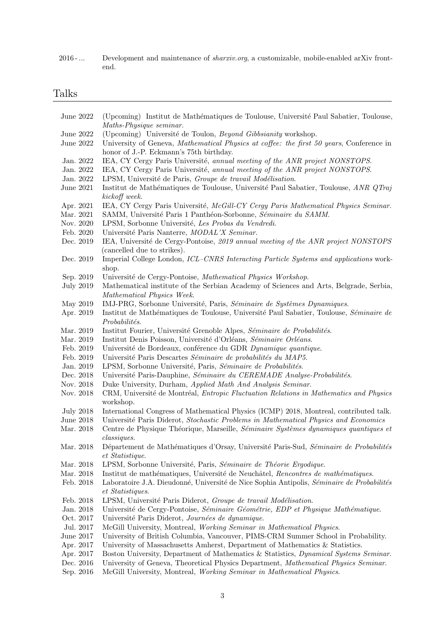2016 - ... Development and maintenance of *sharxiv.org*, a customizable, mobile-enabled arXiv frontend.

## Talks

| June 2022        | (Upcoming) Institut de Mathématiques de Toulouse, Université Paul Sabatier, Toulouse,<br>Maths-Physique seminar.                   |
|------------------|------------------------------------------------------------------------------------------------------------------------------------|
| June 2022        | (Upcoming) Université de Toulon, Beyond Gibbsianity workshop.                                                                      |
| June 2022        | University of Geneva, Mathematical Physics at coffee: the first 50 years, Conference in<br>honor of J.-P. Eckmann's 75th birthday. |
| Jan. 2022        | IEA, CY Cergy Paris Université, annual meeting of the ANR project NONSTOPS.                                                        |
| Jan. 2022        | IEA, CY Cergy Paris Université, annual meeting of the ANR project NONSTOPS.                                                        |
| Jan. 2022        | LPSM, Université de Paris, Groupe de travail Modélisation.                                                                         |
| June 2021        | Institut de Mathématiques de Toulouse, Université Paul Sabatier, Toulouse, ANR QTraj<br>kickoff week.                              |
| Apr. 2021        | IEA, CY Cergy Paris Université, McGill-CY Cergy Paris Mathematical Physics Seminar.                                                |
| Mar. 2021        | SAMM, Université Paris 1 Panthéon-Sorbonne, Séminaire du SAMM.                                                                     |
| Nov. 2020        | LPSM, Sorbonne Université, Les Probas du Vendredi.                                                                                 |
| Feb. 2020        | Université Paris Nanterre, MODAL'X Seminar.                                                                                        |
| Dec. 2019        | IEA, Université de Cergy-Pontoise, 2019 annual meeting of the ANR project NONSTOPS<br>(cancelled due to strikes).                  |
| Dec. 2019        | Imperial College London, ICL-CNRS Interacting Particle Systems and applications work-<br>shop.                                     |
| Sep. 2019        | Université de Cergy-Pontoise, Mathematical Physics Workshop.                                                                       |
| <b>July 2019</b> | Mathematical institute of the Serbian Academy of Sciences and Arts, Belgrade, Serbia,<br>Mathematical Physics Week.                |
| May 2019         | IMJ-PRG, Sorbonne Université, Paris, Séminaire de Systèmes Dynamiques.                                                             |
| Apr. 2019        | Institut de Mathématiques de Toulouse, Université Paul Sabatier, Toulouse, Séminaire de<br>Probabilités.                           |
| Mar. 2019        | Institut Fourier, Université Grenoble Alpes, Séminaire de Probabilités.                                                            |
| Mar. 2019        | Institut Denis Poisson, Université d'Orléans, Séminaire Orléans.                                                                   |
| Feb. 2019        | Université de Bordeaux, conférence du GDR Dynamique quantique.                                                                     |
| Feb. 2019        | Université Paris Descartes Séminaire de probabilités du MAP5.                                                                      |
| Jan. 2019        | LPSM, Sorbonne Université, Paris, Séminaire de Probabilités.                                                                       |
| Dec. 2018        | Université Paris-Dauphine, Séminaire du CEREMADE Analyse-Probabilités.                                                             |
| Nov. 2018        | Duke University, Durham, Applied Math And Analysis Seminar.                                                                        |
| Nov. 2018        | CRM, Université de Montréal, <i>Entropic Fluctuation Relations in Mathematics and Physics</i><br>workshop.                         |
| <b>July 2018</b> | International Congress of Mathematical Physics (ICMP) 2018, Montreal, contributed talk.                                            |
| June $2018$      | Université Paris Diderot, Stochastic Problems in Mathematical Physics and Economics                                                |
| Mar. 2018        | Centre de Physique Théorique, Marseille, Séminaire Systèmes dynamiques quantiques et<br>classiques.                                |
| Mar. 2018        | Département de Mathématiques d'Orsay, Université Paris-Sud, Séminaire de Probabilités<br>et Statistique.                           |
| Mar. 2018        | LPSM, Sorbonne Université, Paris, Séminaire de Théorie Ergodique.                                                                  |
| Mar. 2018        | Institut de mathématiques, Université de Neuchâtel, Rencontres de mathématiques.                                                   |
| Feb. 2018        | Laboratoire J.A. Dieudonné, Université de Nice Sophia Antipolis, Séminaire de Probabilités<br>et Statistiques.                     |
| Feb. 2018        | LPSM, Université Paris Diderot, Groupe de travail Modélisation.                                                                    |
| Jan. 2018        | Université de Cergy-Pontoise, Séminaire Géométrie, EDP et Physique Mathématique.                                                   |
| Oct. 2017        | Université Paris Diderot, Journées de dynamique.                                                                                   |
| Jul. 2017        | McGill University, Montreal, Working Seminar in Mathematical Physics.                                                              |
| June 2017        | University of British Columbia, Vancouver, PIMS-CRM Summer School in Probability.                                                  |
| Apr. 2017        | University of Massachusetts Amherst, Department of Mathematics & Statistics.                                                       |
| Apr. 2017        | Boston University, Department of Mathematics & Statistics, Dynamical Systems Seminar.                                              |
| Dec. 2016        | University of Geneva, Theoretical Physics Department, Mathematical Physics Seminar.                                                |
| Sep. 2016        | McGill University, Montreal, Working Seminar in Mathematical Physics.                                                              |